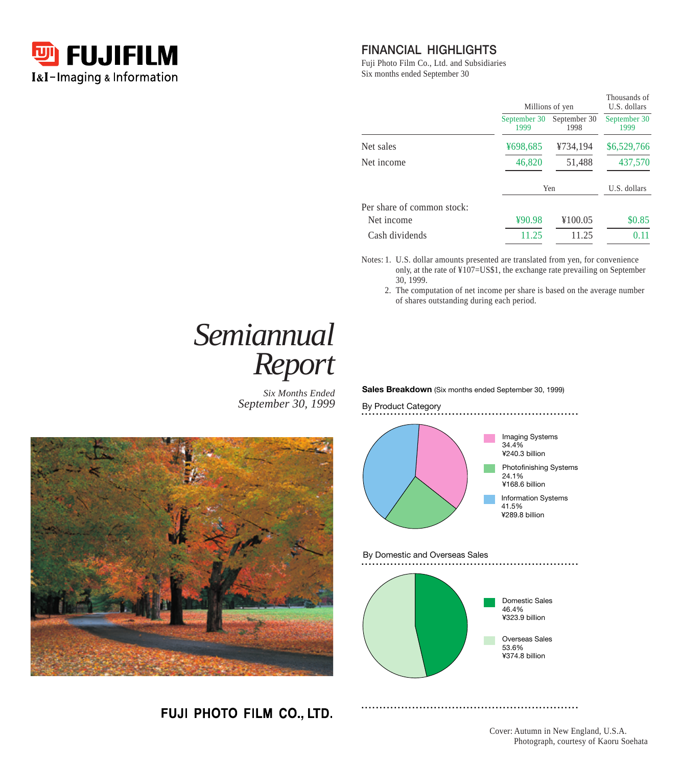

#### **FINANCIAL HIGHLIGHTS**

Fuji Photo Film Co., Ltd. and Subsidiaries Six months ended September 30

|                            | Millions of yen      |                      | Thousands of<br>U.S. dollars |
|----------------------------|----------------------|----------------------|------------------------------|
|                            | September 30<br>1999 | September 30<br>1998 | September 30<br>1999         |
| Net sales                  | ¥698,685             | ¥734,194             | \$6,529,766                  |
| Net income                 | 46,820               | 51,488               | 437,570                      |
|                            |                      | Yen                  | U.S. dollars                 |
| Per share of common stock: |                      |                      |                              |
| Net income                 | ¥90.98               | ¥100.05              | \$0.85                       |
| Cash dividends             | 11.25                | 11.25                | 0.11                         |

Notes: 1. U.S. dollar amounts presented are translated from yen, for convenience only, at the rate of ¥107=US\$1, the exchange rate prevailing on September 30, 1999.

2. The computation of net income per share is based on the average number of shares outstanding during each period.

# *Semiannual Report*

*Six Months Ended September 30, 1999*



FUJI PHOTO FILM CO., LTD.

**Sales Breakdown** (Six months ended September 30, 1999)



Cover: Autumn in New England, U.S.A. Photograph, courtesy of Kaoru Soehata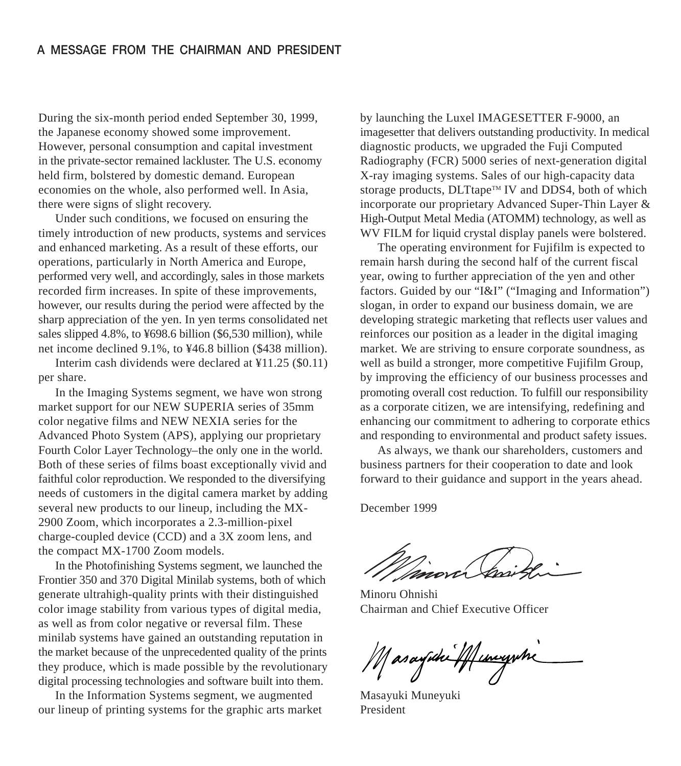During the six-month period ended September 30, 1999, the Japanese economy showed some improvement. However, personal consumption and capital investment in the private-sector remained lackluster. The U.S. economy held firm, bolstered by domestic demand. European economies on the whole, also performed well. In Asia, there were signs of slight recovery.

Under such conditions, we focused on ensuring the timely introduction of new products, systems and services and enhanced marketing. As a result of these efforts, our operations, particularly in North America and Europe, performed very well, and accordingly, sales in those markets recorded firm increases. In spite of these improvements, however, our results during the period were affected by the sharp appreciation of the yen. In yen terms consolidated net sales slipped 4.8%, to ¥698.6 billion (\$6,530 million), while net income declined 9.1%, to ¥46.8 billion (\$438 million).

Interim cash dividends were declared at ¥11.25 (\$0.11) per share.

In the Imaging Systems segment, we have won strong market support for our NEW SUPERIA series of 35mm color negative films and NEW NEXIA series for the Advanced Photo System (APS), applying our proprietary Fourth Color Layer Technology–the only one in the world. Both of these series of films boast exceptionally vivid and faithful color reproduction. We responded to the diversifying needs of customers in the digital camera market by adding several new products to our lineup, including the MX-2900 Zoom, which incorporates a 2.3-million-pixel charge-coupled device (CCD) and a 3X zoom lens, and the compact MX-1700 Zoom models.

In the Photofinishing Systems segment, we launched the Frontier 350 and 370 Digital Minilab systems, both of which generate ultrahigh-quality prints with their distinguished color image stability from various types of digital media, as well as from color negative or reversal film. These minilab systems have gained an outstanding reputation in the market because of the unprecedented quality of the prints they produce, which is made possible by the revolutionary digital processing technologies and software built into them.

In the Information Systems segment, we augmented our lineup of printing systems for the graphic arts market

by launching the Luxel IMAGESETTER F-9000, an imagesetter that delivers outstanding productivity. In medical diagnostic products, we upgraded the Fuji Computed Radiography (FCR) 5000 series of next-generation digital X-ray imaging systems. Sales of our high-capacity data storage products, DLTtape™ IV and DDS4, both of which incorporate our proprietary Advanced Super-Thin Layer & High-Output Metal Media (ATOMM) technology, as well as WV FILM for liquid crystal display panels were bolstered.

The operating environment for Fujifilm is expected to remain harsh during the second half of the current fiscal year, owing to further appreciation of the yen and other factors. Guided by our "I&I" ("Imaging and Information") slogan, in order to expand our business domain, we are developing strategic marketing that reflects user values and reinforces our position as a leader in the digital imaging market. We are striving to ensure corporate soundness, as well as build a stronger, more competitive Fujifilm Group, by improving the efficiency of our business processes and promoting overall cost reduction. To fulfill our responsibility as a corporate citizen, we are intensifying, redefining and enhancing our commitment to adhering to corporate ethics and responding to environmental and product safety issues.

As always, we thank our shareholders, customers and business partners for their cooperation to date and look forward to their guidance and support in the years ahead.

December 1999

Minoru Ohnishi Chairman and Chief Executive Officer

Masayuhi 44 uniyihi

Masayuki Muneyuki President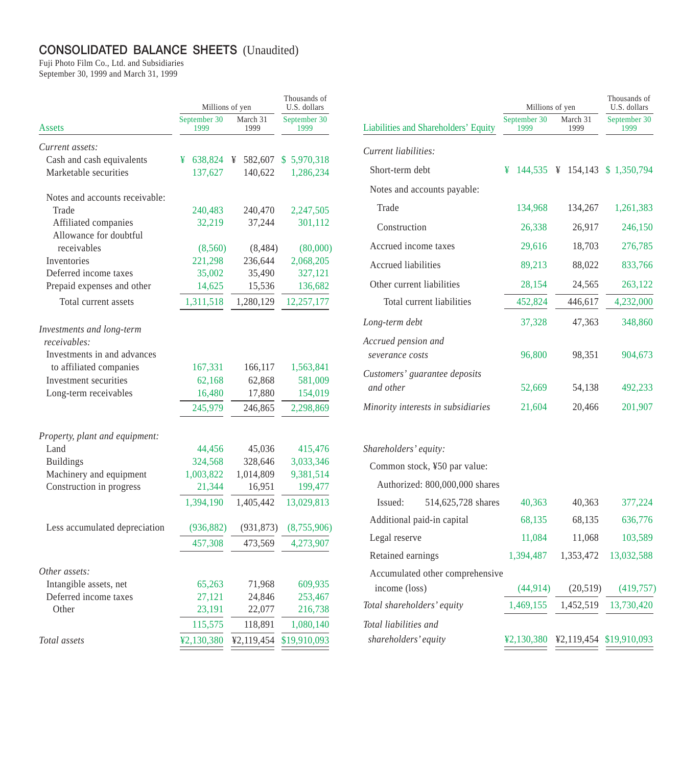## **CONSOLIDATED BALANCE SHEETS** (Unaudited)

Fuji Photo Film Co., Ltd. and Subsidiaries September 30, 1999 and March 31, 1999

|                                           | Millions of yen      |                  | Thousands of<br>U.S. dollars |  |
|-------------------------------------------|----------------------|------------------|------------------------------|--|
| Assets                                    | September 30<br>1999 | March 31<br>1999 | September 30<br>1999         |  |
| Current assets:                           |                      |                  |                              |  |
| Cash and cash equivalents                 | 638,824<br>¥         | ¥<br>582,607     | \$5,970,318                  |  |
| Marketable securities                     | 137,627              | 140,622          | 1,286,234                    |  |
| Notes and accounts receivable:            |                      |                  |                              |  |
| Trade                                     | 240,483              | 240,470          | 2,247,505                    |  |
| Affiliated companies                      | 32,219               | 37,244           | 301,112                      |  |
| Allowance for doubtful                    |                      |                  |                              |  |
| receivables                               | (8,560)              | (8, 484)         | (80,000)                     |  |
| Inventories                               | 221,298              | 236,644          | 2,068,205                    |  |
| Deferred income taxes                     | 35,002               | 35,490           | 327,121                      |  |
| Prepaid expenses and other                | 14,625               | 15,536           | 136,682                      |  |
| Total current assets                      | 1,311,518            | 1,280,129        | 12,257,177                   |  |
| Investments and long-term<br>receivables: |                      |                  |                              |  |
| Investments in and advances               |                      |                  |                              |  |
| to affiliated companies                   | 167,331              | 166,117          | 1,563,841                    |  |
| Investment securities                     | 62,168               | 62,868           | 581,009                      |  |
| Long-term receivables                     | 16,480               | 17,880           | 154,019                      |  |
|                                           | 245,979              | 246,865          | 2,298,869                    |  |
| Property, plant and equipment:            |                      |                  |                              |  |
| Land                                      | 44,456               | 45,036           | 415,476                      |  |
| <b>Buildings</b>                          | 324,568              | 328,646          | 3,033,346                    |  |
| Machinery and equipment                   | 1,003,822            | 1,014,809        | 9,381,514                    |  |
| Construction in progress                  | 21,344               | 16,951           | 199,477                      |  |
|                                           | 1,394,190            | 1,405,442        | 13,029,813                   |  |
| Less accumulated depreciation             | (936, 882)           | (931, 873)       | (8,755,906)                  |  |
|                                           | 457,308              | 473,569          | 4,273,907                    |  |
| Other assets:                             |                      |                  |                              |  |
| Intangible assets, net                    | 65,263               | 71,968           | 609,935                      |  |
| Deferred income taxes                     | 27,121               | 24,846           | 253,467                      |  |
| Other                                     | 23,191               | 22,077           | 216,738                      |  |
|                                           | 115,575              | 118,891          | 1,080,140                    |  |
| Total assets                              | ¥2,130,380           | ¥2,119,454       | \$19,910,093                 |  |

|                                            | Millions of yen      |                  | Thousands of<br>U.S. dollars |  |
|--------------------------------------------|----------------------|------------------|------------------------------|--|
| Liabilities and Shareholders' Equity       | September 30<br>1999 | March 31<br>1999 | September 30<br>1999         |  |
| Current liabilities:                       |                      |                  |                              |  |
| Short-term debt                            | ¥<br>144,535 ¥       |                  | 154,143 \$ 1,350,794         |  |
| Notes and accounts payable:                |                      |                  |                              |  |
| Trade                                      | 134,968              | 134,267          | 1,261,383                    |  |
| Construction                               | 26,338               | 26,917           | 246,150                      |  |
| Accrued income taxes                       | 29,616               | 18,703           | 276,785                      |  |
| <b>Accrued liabilities</b>                 | 89,213               | 88,022           | 833,766                      |  |
| Other current liabilities                  | 28,154               | 24,565           | 263,122                      |  |
| Total current liabilities                  | 452,824              | 446,617          | 4,232,000                    |  |
| Long-term debt                             | 37,328               | 47,363           | 348,860                      |  |
| Accrued pension and<br>severance costs     | 96,800               | 98,351           | 904,673                      |  |
| Customers' guarantee deposits<br>and other | 52,669               | 54,138           | 492,233                      |  |
| Minority interests in subsidiaries         | 21,604               | 20,466           | 201,907                      |  |
| Shareholders' equity:                      |                      |                  |                              |  |
| Common stock, ¥50 par value:               |                      |                  |                              |  |
| Authorized: 800,000,000 shares             |                      |                  |                              |  |
| 514,625,728 shares<br>Issued:              | 40,363               | 40,363           | 377,224                      |  |
| Additional paid-in capital                 | 68,135               | 68,135           | 636,776                      |  |
| Legal reserve                              | 11,084               | 11,068           | 103,589                      |  |
| Retained earnings                          | 1,394,487            | 1,353,472        | 13,032,588                   |  |
| Accumulated other comprehensive            |                      |                  |                              |  |
| income (loss)                              | (44, 914)            | (20,519)         | (419, 757)                   |  |
| Total shareholders' equity                 | 1,469,155            | 1,452,519        | 13,730,420                   |  |
| Total liabilities and                      |                      |                  |                              |  |

*shareholders' equity* <u> $\frac{\text{\$2,130,380}}{4} \frac{\text{\$2,119,454}}{4} \frac{\$19,910,093}{4}$ </u>